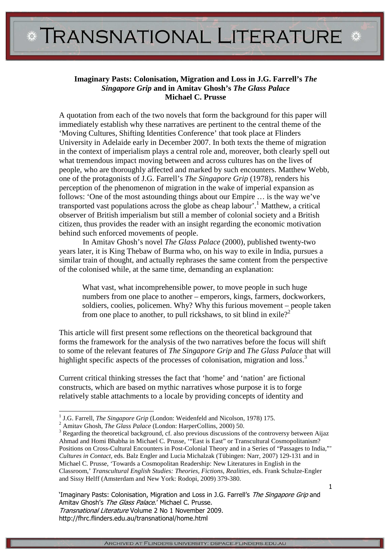## **Imaginary Pasts: Colonisation, Migration and Loss in J.G. Farrell's** *The Singapore Grip* **and in Amitav Ghosh's** *The Glass Palace* **Michael C. Prusse**

A quotation from each of the two novels that form the background for this paper will immediately establish why these narratives are pertinent to the central theme of the 'Moving Cultures, Shifting Identities Conference' that took place at Flinders University in Adelaide early in December 2007. In both texts the theme of migration in the context of imperialism plays a central role and, moreover, both clearly spell out what tremendous impact moving between and across cultures has on the lives of people, who are thoroughly affected and marked by such encounters. Matthew Webb, one of the protagonists of J.G. Farrell's *The Singapore Grip* (1978), renders his perception of the phenomenon of migration in the wake of imperial expansion as follows: 'One of the most astounding things about our Empire … is the way we've transported vast populations across the globe as cheap labour'.<sup>1</sup> Matthew, a critical observer of British imperialism but still a member of colonial society and a British citizen, thus provides the reader with an insight regarding the economic motivation behind such enforced movements of people.

 In Amitav Ghosh's novel *The Glass Palace* (2000), published twenty-two years later, it is King Thebaw of Burma who, on his way to exile in India, pursues a similar train of thought, and actually rephrases the same content from the perspective of the colonised while, at the same time, demanding an explanation:

What vast, what incomprehensible power, to move people in such huge numbers from one place to another – emperors, kings, farmers, dockworkers, soldiers, coolies, policemen. Why? Why this furious movement – people taken from one place to another, to pull rickshaws, to sit blind in exile?<sup>2</sup>

This article will first present some reflections on the theoretical background that forms the framework for the analysis of the two narratives before the focus will shift to some of the relevant features of *The Singapore Grip* and *The Glass Palace* that will highlight specific aspects of the processes of colonisation, migration and loss.<sup>3</sup>

Current critical thinking stresses the fact that 'home' and 'nation' are fictional constructs, which are based on mythic narratives whose purpose it is to forge relatively stable attachments to a locale by providing concepts of identity and

l

'Imaginary Pasts: Colonisation, Migration and Loss in J.G. Farrell's The Singapore Grip and Amitav Ghosh's The Glass Palace.' Michael C. Prusse. Transnational Literature Volume 2 No 1 November 2009. http://fhrc.flinders.edu.au/transnational/home.html

<sup>&</sup>lt;sup>1</sup> J.G. Farrell, *The Singapore Grip* (London: Weidenfeld and Nicolson, 1978) 175.

<sup>2</sup> Amitav Ghosh, *The Glass Palace* (London: HarperCollins, 2000) 50.

<sup>&</sup>lt;sup>3</sup> Regarding the theoretical background, cf. also previous discussions of the controversy between Aijaz Ahmad and Homi Bhabha in Michael C. Prusse, '"East is East" or Transcultural Cosmopolitanism? Positions on Cross-Cultural Encounters in Post-Colonial Theory and in a Series of "Passages to India,"' *Cultures in Contact*, eds. Balz Engler and Lucia Michalzak (Tübingen: Narr, 2007) 129-131 and in Michael C. Prusse, 'Towards a Cosmopolitan Readership: New Literatures in English in the Classroom,' *Transcultural English Studies: Theories, Fictions, Realities*, eds. Frank Schulze-Engler and Sissy Helff (Amsterdam and New York: Rodopi, 2009) 379-380.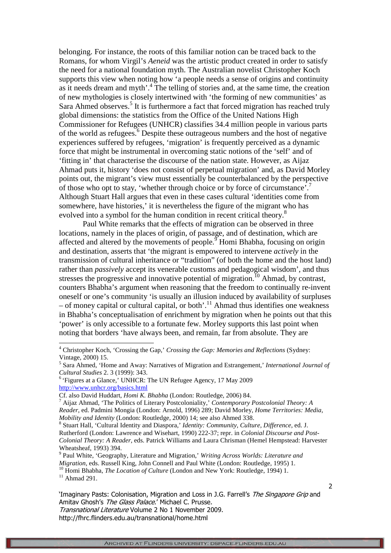belonging. For instance, the roots of this familiar notion can be traced back to the Romans, for whom Virgil's *Aeneid* was the artistic product created in order to satisfy the need for a national foundation myth. The Australian novelist Christopher Koch supports this view when noting how 'a people needs a sense of origins and continuity as it needs dream and myth'.<sup>4</sup> The telling of stories and, at the same time, the creation of new mythologies is closely intertwined with 'the forming of new communities' as Sara Ahmed observes.<sup>5</sup> It is furthermore a fact that forced migration has reached truly global dimensions: the statistics from the Office of the United Nations High Commissioner for Refugees (UNHCR) classifies 34.4 million people in various parts of the world as refugees.<sup>6</sup> Despite these outrageous numbers and the host of negative experiences suffered by refugees, 'migration' is frequently perceived as a dynamic force that might be instrumental in overcoming static notions of the 'self' and of 'fitting in' that characterise the discourse of the nation state. However, as Aijaz Ahmad puts it, history 'does not consist of perpetual migration' and, as David Morley points out, the migrant's view must essentially be counterbalanced by the perspective of those who opt to stay, 'whether through choice or by force of circumstance'.<sup>7</sup> Although Stuart Hall argues that even in these cases cultural 'identities come from somewhere, have histories,' it is nevertheless the figure of the migrant who has evolved into a symbol for the human condition in recent critical theory.<sup>8</sup>

 Paul White remarks that the effects of migration can be observed in three locations, namely in the places of origin, of passage, and of destination, which are affected and altered by the movements of people.  $\overline{9}$  Homi Bhabha, focusing on origin and destination, asserts that 'the migrant is empowered to intervene *actively* in the transmission of cultural inheritance or "tradition" (of both the home and the host land) rather than *passively* accept its venerable customs and pedagogical wisdom', and thus stresses the progressive and innovative potential of migration.<sup>10</sup> Ahmad, by contrast, counters Bhabha's argument when reasoning that the freedom to continually re-invent oneself or one's community 'is usually an illusion induced by availability of surpluses  $-$  of money capital or cultural capital, or both'.<sup>11</sup> Ahmad thus identifies one weakness in Bhabha's conceptualisation of enrichment by migration when he points out that this 'power' is only accessible to a fortunate few. Morley supports this last point when noting that borders 'have always been, and remain, far from absolute. They are

-

'Imaginary Pasts: Colonisation, Migration and Loss in J.G. Farrell's The Singapore Grip and Amitav Ghosh's The Glass Palace.' Michael C. Prusse. Transnational Literature Volume 2 No 1 November 2009.

2

<sup>4</sup> Christopher Koch, 'Crossing the Gap,' *Crossing the Gap: Memories and Reflections* (Sydney: Vintage, 2000) 15.

<sup>5</sup> Sara Ahmed, 'Home and Away: Narratives of Migration and Estrangement,' *International Journal of Cultural Studies* 2. 3 (1999): 343.

<sup>&</sup>lt;sup>6</sup> 'Figures at a Glance,' UNHCR: The UN Refugee Agency, 17 May 2009 http://www.unhcr.org/basics.html

Cf. also David Huddart, *Homi K. Bhabha* (London: Routledge, 2006) 84.

<sup>7</sup> Aijaz Ahmad, 'The Politics of Literary Postcoloniality,' *Contemporary Postcolonial Theory: A Reader*, ed. Padmini Mongia (London: Arnold, 1996) 289; David Morley, *Home Territories: Media, Mobility and Identity* (London: Routledge, 2000) 14; see also Ahmed 338.

<sup>8</sup> Stuart Hall, 'Cultural Identity and Diaspora,' *Identity: Community, Culture, Difference*, ed. J. Rutherford (London: Lawrence and Wisehart, 1990) 222-37; repr. in *Colonial Discourse and Post-Colonial Theory: A Reader*, eds. Patrick Williams and Laura Chrisman (Hemel Hempstead: Harvester Wheatsheaf, 1993) 394.

<sup>9</sup> Paul White, 'Geography, Literature and Migration,' *Writing Across Worlds: Literature and Migration*, eds. Russell King, John Connell and Paul White (London: Routledge, 1995) 1.

<sup>&</sup>lt;sup>10</sup> Homi Bhabha, *The Location of Culture* (London and New York: Routledge, 1994) 1.  $11$  Ahmad 291.

ARCHIVED AT FLINDERS UNIVERSITY: DSPACE.FLINDERS.EDU.AU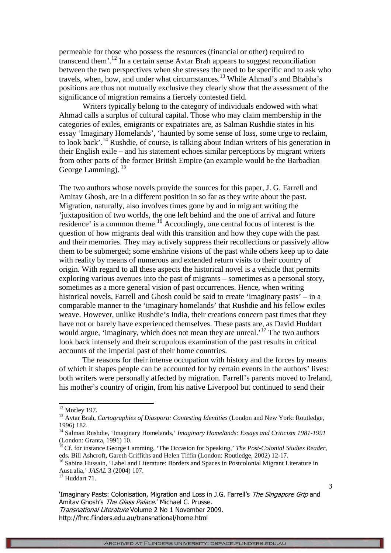permeable for those who possess the resources (financial or other) required to transcend them'.<sup>12</sup> In a certain sense Avtar Brah appears to suggest reconciliation between the two perspectives when she stresses the need to be specific and to ask who travels, when, how, and under what circumstances.<sup>13</sup> While Ahmad's and Bhabha's positions are thus not mutually exclusive they clearly show that the assessment of the significance of migration remains a fiercely contested field.

 Writers typically belong to the category of individuals endowed with what Ahmad calls a surplus of cultural capital. Those who may claim membership in the categories of exiles, emigrants or expatriates are, as Salman Rushdie states in his essay 'Imaginary Homelands', 'haunted by some sense of loss, some urge to reclaim, to look back'.<sup>14</sup> Rushdie, of course, is talking about Indian writers of his generation in their English exile – and his statement echoes similar perceptions by migrant writers from other parts of the former British Empire (an example would be the Barbadian George Lamming).<sup>15</sup>

The two authors whose novels provide the sources for this paper, J. G. Farrell and Amitav Ghosh, are in a different position in so far as they write about the past. Migration, naturally, also involves times gone by and in migrant writing the 'juxtaposition of two worlds, the one left behind and the one of arrival and future residence' is a common theme.<sup>16</sup> Accordingly, one central focus of interest is the question of how migrants deal with this transition and how they cope with the past and their memories. They may actively suppress their recollections or passively allow them to be submerged; some enshrine visions of the past while others keep up to date with reality by means of numerous and extended return visits to their country of origin. With regard to all these aspects the historical novel is a vehicle that permits exploring various avenues into the past of migrants – sometimes as a personal story, sometimes as a more general vision of past occurrences. Hence, when writing historical novels, Farrell and Ghosh could be said to create 'imaginary pasts' – in a comparable manner to the 'imaginary homelands' that Rushdie and his fellow exiles weave. However, unlike Rushdie's India, their creations concern past times that they have not or barely have experienced themselves. These pasts are, as David Huddart would argue, 'imaginary, which does not mean they are unreal.<sup>'17</sup> The two authors look back intensely and their scrupulous examination of the past results in critical accounts of the imperial past of their home countries.

The reasons for their intense occupation with history and the forces by means of which it shapes people can be accounted for by certain events in the authors' lives: both writers were personally affected by migration. Farrell's parents moved to Ireland, his mother's country of origin, from his native Liverpool but continued to send their

l

 $12$  Morley 197.

<sup>&</sup>lt;sup>13</sup> Avtar Brah, *Cartographies of Diaspora: Contesting Identities* (London and New York: Routledge, 1996) 182.

<sup>14</sup> Salman Rushdie, 'Imaginary Homelands,' *Imaginary Homelands: Essays and Criticism 1981-1991* (London: Granta, 1991) 10.

<sup>&</sup>lt;sup>15</sup> Cf. for instance George Lamming, 'The Occasion for Speaking,' *The Post-Colonial Studies Reader*, eds. Bill Ashcroft, Gareth Griffiths and Helen Tiffin (London: Routledge, 2002) 12-17.

<sup>&</sup>lt;sup>16</sup> Sabina Hussain, 'Label and Literature: Borders and Spaces in Postcolonial Migrant Literature in Australia,' *JASAL* 3 (2004) 107.

<sup>&</sup>lt;sup>17</sup> Huddart 71.

<sup>&#</sup>x27;Imaginary Pasts: Colonisation, Migration and Loss in J.G. Farrell's The Singapore Grip and Amitav Ghosh's The Glass Palace.' Michael C. Prusse.

Transnational Literature Volume 2 No 1 November 2009.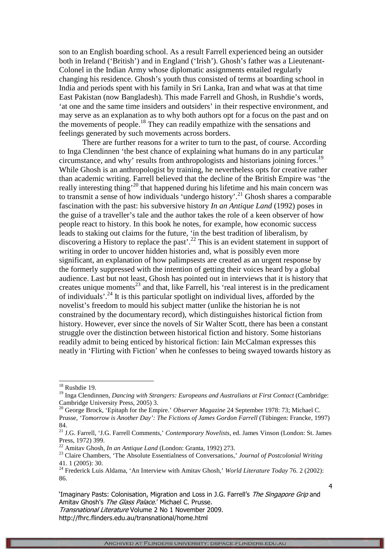son to an English boarding school. As a result Farrell experienced being an outsider both in Ireland ('British') and in England ('Irish'). Ghosh's father was a Lieutenant-Colonel in the Indian Army whose diplomatic assignments entailed regularly changing his residence. Ghosh's youth thus consisted of terms at boarding school in India and periods spent with his family in Sri Lanka, Iran and what was at that time East Pakistan (now Bangladesh). This made Farrell and Ghosh, in Rushdie's words, 'at one and the same time insiders and outsiders' in their respective environment, and may serve as an explanation as to why both authors opt for a focus on the past and on the movements of people.<sup>18</sup> They can readily empathize with the sensations and feelings generated by such movements across borders.

There are further reasons for a writer to turn to the past, of course. According to Inga Clendinnen 'the best chance of explaining what humans do in any particular circumstance, and why' results from anthropologists and historians joining forces.<sup>19</sup> While Ghosh is an anthropologist by training, he nevertheless opts for creative rather than academic writing. Farrell believed that the decline of the British Empire was 'the really interesting thing<sup>, 20</sup> that happened during his lifetime and his main concern was to transmit a sense of how individuals 'undergo history'.<sup>21</sup> Ghosh shares a comparable fascination with the past: his subversive history *In an Antique Land* (1992) poses in the guise of a traveller's tale and the author takes the role of a keen observer of how people react to history. In this book he notes, for example, how economic success leads to staking out claims for the future, 'in the best tradition of liberalism, by discovering a History to replace the past<sup>2.22</sup> This is an evident statement in support of writing in order to uncover hidden histories and, what is possibly even more significant, an explanation of how palimpsests are created as an urgent response by the formerly suppressed with the intention of getting their voices heard by a global audience. Last but not least, Ghosh has pointed out in interviews that it is history that creates unique moments<sup>23</sup> and that, like Farrell, his 'real interest is in the predicament of individuals'.<sup>24</sup> It is this particular spotlight on individual lives, afforded by the novelist's freedom to mould his subject matter (unlike the historian he is not constrained by the documentary record), which distinguishes historical fiction from history. However, ever since the novels of Sir Walter Scott, there has been a constant struggle over the distinction between historical fiction and history. Some historians readily admit to being enticed by historical fiction: Iain McCalman expresses this neatly in 'Flirting with Fiction' when he confesses to being swayed towards history as

l

4

Transnational Literature Volume 2 No 1 November 2009.

<sup>&</sup>lt;sup>18</sup> Rushdie 19.

<sup>&</sup>lt;sup>19</sup> Inga Clendinnen, *Dancing with Strangers: Europeans and Australians at First Contact* (Cambridge: Cambridge University Press, 2005) 3.

<sup>&</sup>lt;sup>20</sup> George Brock, 'Epitaph for the Empire.' *Observer Magazine* 24 September 1978: 73; Michael C. Prusse, *'Tomorrow is Another Day': The Fictions of James Gordon Farrell* (Tübingen: Francke, 1997) 84.

<sup>21</sup> J.G. Farrell, 'J.G. Farrell Comments,' *Contemporary Novelists*, ed. James Vinson (London: St. James Press, 1972) 399.

<sup>22</sup> Amitav Ghosh, *In an Antique Land* (London: Granta, 1992) 273.

<sup>23</sup> Claire Chambers, 'The Absolute Essentialness of Conversations,' *Journal of Postcolonial Writing* 41. 1 (2005): 30.

<sup>24</sup> Frederick Luis Aldama, 'An Interview with Amitav Ghosh,' *World Literature Today* 76. 2 (2002): 86.

<sup>&#</sup>x27;Imaginary Pasts: Colonisation, Migration and Loss in J.G. Farrell's The Singapore Grip and Amitav Ghosh's The Glass Palace.' Michael C. Prusse.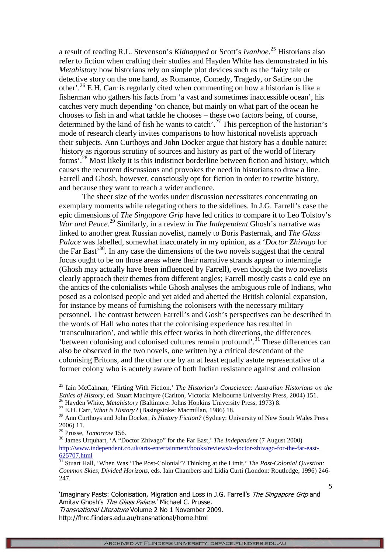a result of reading R.L. Stevenson's *Kidnapped* or Scott's *Ivanhoe*. <sup>25</sup> Historians also refer to fiction when crafting their studies and Hayden White has demonstrated in his *Metahistory* how historians rely on simple plot devices such as the 'fairy tale or detective story on the one hand, as Romance, Comedy, Tragedy, or Satire on the other'.<sup>26</sup> E.H. Carr is regularly cited when commenting on how a historian is like a fisherman who gathers his facts from 'a vast and sometimes inaccessible ocean', his catches very much depending 'on chance, but mainly on what part of the ocean he chooses to fish in and what tackle he chooses – these two factors being, of course, determined by the kind of fish he wants to catch'.<sup>27</sup> This perception of the historian's mode of research clearly invites comparisons to how historical novelists approach their subjects. Ann Curthoys and John Docker argue that history has a double nature: 'history as rigorous scrutiny of sources and history as part of the world of literary forms'.<sup>28</sup> Most likely it is this indistinct borderline between fiction and history, which causes the recurrent discussions and provokes the need in historians to draw a line. Farrell and Ghosh, however, consciously opt for fiction in order to rewrite history, and because they want to reach a wider audience.

The sheer size of the works under discussion necessitates concentrating on exemplary moments while relegating others to the sidelines. In J.G. Farrell's case the epic dimensions of *The Singapore Grip* have led critics to compare it to Leo Tolstoy's *War and Peace*. <sup>29</sup> Similarly, in a review in *The Independent* Ghosh's narrative was linked to another great Russian novelist, namely to Boris Pasternak, and *The Glass Palace* was labelled, somewhat inaccurately in my opinion, as a '*Doctor Zhivago* for the Far East'<sup>30</sup>. In any case the dimensions of the two novels suggest that the central focus ought to be on those areas where their narrative strands appear to intermingle (Ghosh may actually have been influenced by Farrell), even though the two novelists clearly approach their themes from different angles; Farrell mostly casts a cold eye on the antics of the colonialists while Ghosh analyses the ambiguous role of Indians, who posed as a colonised people and yet aided and abetted the British colonial expansion, for instance by means of furnishing the colonisers with the necessary military personnel. The contrast between Farrell's and Gosh's perspectives can be described in the words of Hall who notes that the colonising experience has resulted in 'transculturation', and while this effect works in both directions, the differences 'between colonising and colonised cultures remain profound'.<sup>31</sup> These differences can also be observed in the two novels, one written by a critical descendant of the colonising Britons, and the other one by an at least equally astute representative of a former colony who is acutely aware of both Indian resistance against and collusion

l

5

'Imaginary Pasts: Colonisation, Migration and Loss in J.G. Farrell's *The Singapore Grip* and Amitav Ghosh's The Glass Palace.' Michael C. Prusse.

Transnational Literature Volume 2 No 1 November 2009. http://fhrc.flinders.edu.au/transnational/home.html

<sup>25</sup> Iain McCalman, 'Flirting With Fiction,' *The Historian's Conscience: Australian Historians on the Ethics of History*, ed. Stuart Macintyre (Carlton, Victoria: Melbourne University Press, 2004) 151. <sup>26</sup> Hayden White, *Metahistory* (Baltimore: Johns Hopkins University Press, 1973) 8.

<sup>27</sup> E.H. Carr, *What is History?* (Basingstoke: Macmillan, 1986) 18.

<sup>&</sup>lt;sup>28</sup> Ann Curthoys and John Docker, *Is History Fiction?* (Sydney: University of New South Wales Press 2006) 11.

<sup>29</sup> Prusse, *Tomorrow* 156.

<sup>30</sup> James Urquhart, 'A "Doctor Zhivago" for the Far East,' *The Independent* (7 August 2000) http://www.independent.co.uk/arts-entertainment/books/reviews/a-doctor-zhivago-for-the-far-east-625707.html

<sup>31</sup> Stuart Hall, 'When Was 'The Post-Colonial'? Thinking at the Limit,' *The Post-Colonial Question: Common Skies, Divided Horizons*, eds. Iain Chambers and Lidia Curti (London: Routledge, 1996) 246- 247.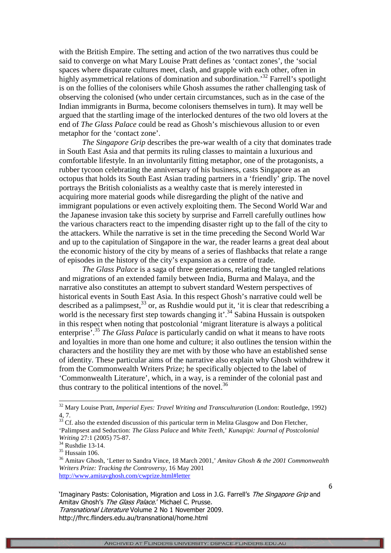with the British Empire. The setting and action of the two narratives thus could be said to converge on what Mary Louise Pratt defines as 'contact zones', the 'social spaces where disparate cultures meet, clash, and grapple with each other, often in highly asymmetrical relations of domination and subordination.<sup>32</sup> Farrell's spotlight is on the follies of the colonisers while Ghosh assumes the rather challenging task of observing the colonised (who under certain circumstances, such as in the case of the Indian immigrants in Burma, become colonisers themselves in turn). It may well be argued that the startling image of the interlocked dentures of the two old lovers at the end of *The Glass Palace* could be read as Ghosh's mischievous allusion to or even metaphor for the 'contact zone'.

*The Singapore Grip* describes the pre-war wealth of a city that dominates trade in South East Asia and that permits its ruling classes to maintain a luxurious and comfortable lifestyle. In an involuntarily fitting metaphor, one of the protagonists, a rubber tycoon celebrating the anniversary of his business, casts Singapore as an octopus that holds its South East Asian trading partners in a 'friendly' grip. The novel portrays the British colonialists as a wealthy caste that is merely interested in acquiring more material goods while disregarding the plight of the native and immigrant populations or even actively exploiting them. The Second World War and the Japanese invasion take this society by surprise and Farrell carefully outlines how the various characters react to the impending disaster right up to the fall of the city to the attackers. While the narrative is set in the time preceding the Second World War and up to the capitulation of Singapore in the war, the reader learns a great deal about the economic history of the city by means of a series of flashbacks that relate a range of episodes in the history of the city's expansion as a centre of trade.

*The Glass Palace* is a saga of three generations, relating the tangled relations and migrations of an extended family between India, Burma and Malaya, and the narrative also constitutes an attempt to subvert standard Western perspectives of historical events in South East Asia. In this respect Ghosh's narrative could well be described as a palimpsest,  $33$  or, as Rushdie would put it, 'it is clear that redescribing a world is the necessary first step towards changing it'.<sup>34</sup> Sabina Hussain is outspoken in this respect when noting that postcolonial 'migrant literature is always a political enterprise<sup>7</sup>.<sup>35</sup> *The Glass Palace* is particularly candid on what it means to have roots and loyalties in more than one home and culture; it also outlines the tension within the characters and the hostility they are met with by those who have an established sense of identity. These particular aims of the narrative also explain why Ghosh withdrew it from the Commonwealth Writers Prize; he specifically objected to the label of 'Commonwealth Literature', which, in a way, is a reminder of the colonial past and thus contrary to the political intentions of the novel. $36$ 

l

'Imaginary Pasts: Colonisation, Migration and Loss in J.G. Farrell's The Singapore Grip and Amitav Ghosh's The Glass Palace.' Michael C. Prusse. Transnational Literature Volume 2 No 1 November 2009. http://fhrc.flinders.edu.au/transnational/home.html

<sup>32</sup> Mary Louise Pratt, *Imperial Eyes: Travel Writing and Transculturation* (London: Routledge, 1992) 4, 7.

 $33$  Cf. also the extended discussion of this particular term in Melita Glasgow and Don Fletcher, 'Palimpsest and Seduction: *The Glass Palace* and *White Teeth*,' *Kunapipi: Journal of Postcolonial Writing* 27:1 (2005) 75-87.

<sup>34</sup> Rushdie 13-14.

 $35$  Hussain 106.

<sup>36</sup> Amitav Ghosh, 'Letter to Sandra Vince, 18 March 2001,' *Amitav Ghosh & the 2001 Commonwealth Writers Prize: Tracking the Controversy*, 16 May 2001 http://www.amitavghosh.com/cwprize.html#letter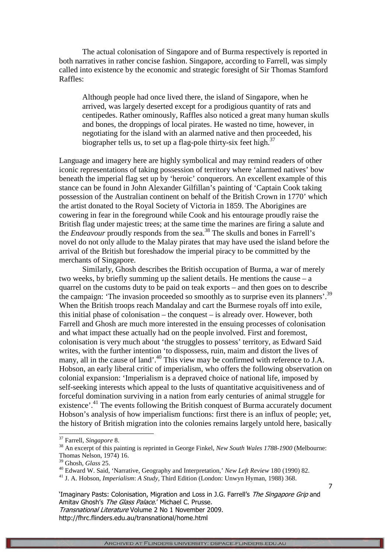The actual colonisation of Singapore and of Burma respectively is reported in both narratives in rather concise fashion. Singapore, according to Farrell, was simply called into existence by the economic and strategic foresight of Sir Thomas Stamford Raffles:

Although people had once lived there, the island of Singapore, when he arrived, was largely deserted except for a prodigious quantity of rats and centipedes. Rather ominously, Raffles also noticed a great many human skulls and bones, the droppings of local pirates. He wasted no time, however, in negotiating for the island with an alarmed native and then proceeded, his biographer tells us, to set up a flag-pole thirty-six feet high.<sup>37</sup>

Language and imagery here are highly symbolical and may remind readers of other iconic representations of taking possession of territory where 'alarmed natives' bow beneath the imperial flag set up by 'heroic' conquerors. An excellent example of this stance can be found in John Alexander Gilfillan's painting of 'Captain Cook taking possession of the Australian continent on behalf of the British Crown in 1770' which the artist donated to the Royal Society of Victoria in 1859. The Aborigines are cowering in fear in the foreground while Cook and his entourage proudly raise the British flag under majestic trees; at the same time the marines are firing a salute and the *Endeavour* proudly responds from the sea.<sup>38</sup> The skulls and bones in Farrell's novel do not only allude to the Malay pirates that may have used the island before the arrival of the British but foreshadow the imperial piracy to be committed by the merchants of Singapore.

Similarly, Ghosh describes the British occupation of Burma, a war of merely two weeks, by briefly summing up the salient details. He mentions the cause – a quarrel on the customs duty to be paid on teak exports – and then goes on to describe the campaign: 'The invasion proceeded so smoothly as to surprise even its planners'.<sup>39</sup> When the British troops reach Mandalay and cart the Burmese royals off into exile, this initial phase of colonisation – the conquest – is already over. However, both Farrell and Ghosh are much more interested in the ensuing processes of colonisation and what impact these actually had on the people involved. First and foremost, colonisation is very much about 'the struggles to possess' territory, as Edward Said writes, with the further intention 'to dispossess, ruin, maim and distort the lives of many, all in the cause of land'.<sup>40</sup> This view may be confirmed with reference to J.A. Hobson, an early liberal critic of imperialism, who offers the following observation on colonial expansion: 'Imperialism is a depraved choice of national life, imposed by self-seeking interests which appeal to the lusts of quantitative acquisitiveness and of forceful domination surviving in a nation from early centuries of animal struggle for existence'.<sup>41</sup> The events following the British conquest of Burma accurately document Hobson's analysis of how imperialism functions: first there is an influx of people; yet, the history of British migration into the colonies remains largely untold here, basically

7

-

<sup>37</sup> Farrell, *Singapore* 8.

<sup>38</sup> An excerpt of this painting is reprinted in George Finkel, *New South Wales 1788-1900* (Melbourne: Thomas Nelson, 1974) 16.

<sup>39</sup> Ghosh, *Glass* 25.

<sup>40</sup> Edward W. Said, 'Narrative, Geography and Interpretation,' *New Left Review* 180 (1990) 82.

<sup>41</sup> J. A. Hobson, *Imperialism*: *A Study*, Third Edition (London: Unwyn Hyman, 1988) 368.

<sup>&#</sup>x27;Imaginary Pasts: Colonisation, Migration and Loss in J.G. Farrell's The Singapore Grip and Amitav Ghosh's The Glass Palace.' Michael C. Prusse. Transnational Literature Volume 2 No 1 November 2009.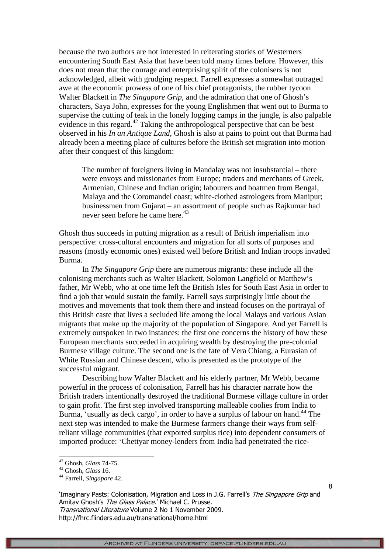because the two authors are not interested in reiterating stories of Westerners encountering South East Asia that have been told many times before. However, this does not mean that the courage and enterprising spirit of the colonisers is not acknowledged, albeit with grudging respect. Farrell expresses a somewhat outraged awe at the economic prowess of one of his chief protagonists, the rubber tycoon Walter Blackett in *The Singapore Grip*, and the admiration that one of Ghosh's characters, Saya John, expresses for the young Englishmen that went out to Burma to supervise the cutting of teak in the lonely logging camps in the jungle, is also palpable evidence in this regard.<sup>42</sup> Taking the anthropological perspective that can be best observed in his *In an Antique Land*, Ghosh is also at pains to point out that Burma had already been a meeting place of cultures before the British set migration into motion after their conquest of this kingdom:

The number of foreigners living in Mandalay was not insubstantial – there were envoys and missionaries from Europe; traders and merchants of Greek, Armenian, Chinese and Indian origin; labourers and boatmen from Bengal, Malaya and the Coromandel coast; white-clothed astrologers from Manipur; businessmen from Gujarat – an assortment of people such as Rajkumar had never seen before he came here.<sup>43</sup>

Ghosh thus succeeds in putting migration as a result of British imperialism into perspective: cross-cultural encounters and migration for all sorts of purposes and reasons (mostly economic ones) existed well before British and Indian troops invaded Burma.

In *The Singapore Grip* there are numerous migrants: these include all the colonising merchants such as Walter Blackett, Solomon Langfield or Matthew's father, Mr Webb, who at one time left the British Isles for South East Asia in order to find a job that would sustain the family. Farrell says surprisingly little about the motives and movements that took them there and instead focuses on the portrayal of this British caste that lives a secluded life among the local Malays and various Asian migrants that make up the majority of the population of Singapore. And yet Farrell is extremely outspoken in two instances: the first one concerns the history of how these European merchants succeeded in acquiring wealth by destroying the pre-colonial Burmese village culture. The second one is the fate of Vera Chiang, a Eurasian of White Russian and Chinese descent, who is presented as the prototype of the successful migrant.

Describing how Walter Blackett and his elderly partner, Mr Webb, became powerful in the process of colonisation, Farrell has his character narrate how the British traders intentionally destroyed the traditional Burmese village culture in order to gain profit. The first step involved transporting malleable coolies from India to Burma, 'usually as deck cargo', in order to have a surplus of labour on hand.<sup>44</sup> The next step was intended to make the Burmese farmers change their ways from selfreliant village communities (that exported surplus rice) into dependent consumers of imported produce: 'Chettyar money-lenders from India had penetrated the rice-

-

'Imaginary Pasts: Colonisation, Migration and Loss in J.G. Farrell's The Singapore Grip and Amitav Ghosh's The Glass Palace.' Michael C. Prusse. Transnational Literature Volume 2 No 1 November 2009.

http://fhrc.flinders.edu.au/transnational/home.html

<sup>42</sup> Ghosh, *Glass* 74-75.

<sup>43</sup> Ghosh, *Glass* 16.

<sup>44</sup> Farrell, *Singapore* 42.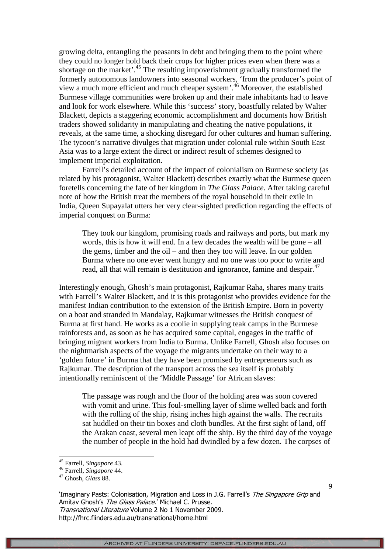growing delta, entangling the peasants in debt and bringing them to the point where they could no longer hold back their crops for higher prices even when there was a shortage on the market'.<sup>45</sup> The resulting impoverishment gradually transformed the formerly autonomous landowners into seasonal workers, 'from the producer's point of view a much more efficient and much cheaper system'. <sup>46</sup> Moreover, the established Burmese village communities were broken up and their male inhabitants had to leave and look for work elsewhere. While this 'success' story, boastfully related by Walter Blackett, depicts a staggering economic accomplishment and documents how British traders showed solidarity in manipulating and cheating the native populations, it reveals, at the same time, a shocking disregard for other cultures and human suffering. The tycoon's narrative divulges that migration under colonial rule within South East Asia was to a large extent the direct or indirect result of schemes designed to implement imperial exploitation.

Farrell's detailed account of the impact of colonialism on Burmese society (as related by his protagonist, Walter Blackett) describes exactly what the Burmese queen foretells concerning the fate of her kingdom in *The Glass Palace*. After taking careful note of how the British treat the members of the royal household in their exile in India, Queen Supayalat utters her very clear-sighted prediction regarding the effects of imperial conquest on Burma:

They took our kingdom, promising roads and railways and ports, but mark my words, this is how it will end. In a few decades the wealth will be gone – all the gems, timber and the oil – and then they too will leave. In our golden Burma where no one ever went hungry and no one was too poor to write and read, all that will remain is destitution and ignorance, famine and despair.<sup>47</sup>

Interestingly enough, Ghosh's main protagonist, Rajkumar Raha, shares many traits with Farrell's Walter Blackett, and it is this protagonist who provides evidence for the manifest Indian contribution to the extension of the British Empire. Born in poverty on a boat and stranded in Mandalay, Rajkumar witnesses the British conquest of Burma at first hand. He works as a coolie in supplying teak camps in the Burmese rainforests and, as soon as he has acquired some capital, engages in the traffic of bringing migrant workers from India to Burma. Unlike Farrell, Ghosh also focuses on the nightmarish aspects of the voyage the migrants undertake on their way to a 'golden future' in Burma that they have been promised by entrepreneurs such as Rajkumar. The description of the transport across the sea itself is probably intentionally reminiscent of the 'Middle Passage' for African slaves:

The passage was rough and the floor of the holding area was soon covered with vomit and urine. This foul-smelling layer of slime welled back and forth with the rolling of the ship, rising inches high against the walls. The recruits sat huddled on their tin boxes and cloth bundles. At the first sight of land, off the Arakan coast, several men leapt off the ship. By the third day of the voyage the number of people in the hold had dwindled by a few dozen. The corpses of

-

'Imaginary Pasts: Colonisation, Migration and Loss in J.G. Farrell's The Singapore Grip and Amitav Ghosh's The Glass Palace.' Michael C. Prusse. Transnational Literature Volume 2 No 1 November 2009. http://fhrc.flinders.edu.au/transnational/home.html

<sup>45</sup> Farrell, *Singapore* 43.

<sup>46</sup> Farrell, *Singapore* 44.

<sup>47</sup> Ghosh, *Glass* 88.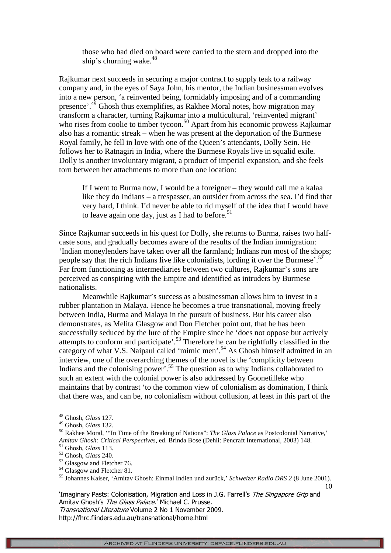those who had died on board were carried to the stern and dropped into the ship's churning wake. $48$ 

Rajkumar next succeeds in securing a major contract to supply teak to a railway company and, in the eyes of Saya John, his mentor, the Indian businessman evolves into a new person, 'a reinvented being, formidably imposing and of a commanding presence'.<sup>49</sup> Ghosh thus exemplifies, as Rakhee Moral notes, how migration may transform a character, turning Rajkumar into a multicultural, 'reinvented migrant' who rises from coolie to timber tycoon.<sup>50</sup> Apart from his economic prowess Rajkumar also has a romantic streak – when he was present at the deportation of the Burmese Royal family, he fell in love with one of the Queen's attendants, Dolly Sein. He follows her to Ratnagiri in India, where the Burmese Royals live in squalid exile. Dolly is another involuntary migrant, a product of imperial expansion, and she feels torn between her attachments to more than one location:

If I went to Burma now, I would be a foreigner – they would call me a kalaa like they do Indians – a trespasser, an outsider from across the sea. I'd find that very hard, I think. I'd never be able to rid myself of the idea that I would have to leave again one day, just as I had to before.<sup>51</sup>

Since Rajkumar succeeds in his quest for Dolly, she returns to Burma, raises two halfcaste sons, and gradually becomes aware of the results of the Indian immigration: 'Indian moneylenders have taken over all the farmland; Indians run most of the shops; people say that the rich Indians live like colonialists, lording it over the Burmese'.<sup>5</sup> Far from functioning as intermediaries between two cultures, Rajkumar's sons are perceived as conspiring with the Empire and identified as intruders by Burmese nationalists.

Meanwhile Rajkumar's success as a businessman allows him to invest in a rubber plantation in Malaya. Hence he becomes a true transnational, moving freely between India, Burma and Malaya in the pursuit of business. But his career also demonstrates, as Melita Glasgow and Don Fletcher point out, that he has been successfully seduced by the lure of the Empire since he 'does not oppose but actively attempts to conform and participate'.<sup>53</sup> Therefore he can be rightfully classified in the category of what V.S. Naipaul called 'mimic men'.<sup>54</sup> As Ghosh himself admitted in an interview, one of the overarching themes of the novel is the 'complicity between Indians and the colonising power<sup>'.55</sup> The question as to why Indians collaborated to such an extent with the colonial power is also addressed by Goonetilleke who maintains that by contrast 'to the common view of colonialism as domination, I think that there was, and can be, no colonialism without collusion, at least in this part of the

-

'Imaginary Pasts: Colonisation, Migration and Loss in J.G. Farrell's The Singapore Grip and Amitav Ghosh's The Glass Palace.' Michael C. Prusse. Transnational Literature Volume 2 No 1 November 2009.

<sup>48</sup> Ghosh, *Glass* 127.

<sup>49</sup> Ghosh, *Glass* 132.

<sup>50</sup> Rakhee Moral, '"In Time of the Breaking of Nations": *The Glass Palace* as Postcolonial Narrative,' *Amitav Ghosh: Critical Perspectives*, ed. Brinda Bose (Dehli: Pencraft International, 2003) 148.

<sup>51</sup> Ghosh, *Glass* 113.

<sup>52</sup> Ghosh, *Glass* 240. <sup>53</sup> Glasgow and Fletcher 76.

<sup>&</sup>lt;sup>54</sup> Glasgow and Fletcher 81.

<sup>10</sup> <sup>55</sup> Johannes Kaiser, 'Amitav Ghosh: Einmal Indien und zurück,' *Schweizer Radio DRS 2* (8 June 2001).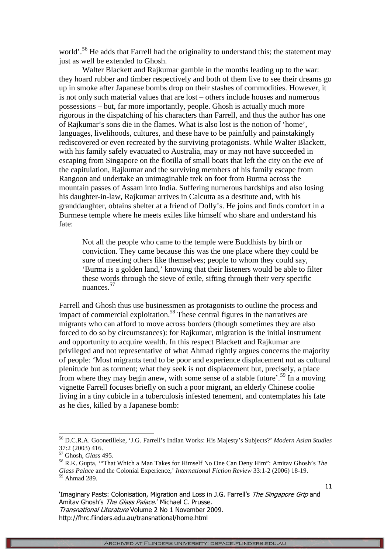world'.<sup>56</sup> He adds that Farrell had the originality to understand this; the statement may just as well be extended to Ghosh.

Walter Blackett and Rajkumar gamble in the months leading up to the war: they hoard rubber and timber respectively and both of them live to see their dreams go up in smoke after Japanese bombs drop on their stashes of commodities. However, it is not only such material values that are lost – others include houses and numerous possessions – but, far more importantly, people. Ghosh is actually much more rigorous in the dispatching of his characters than Farrell, and thus the author has one of Rajkumar's sons die in the flames. What is also lost is the notion of 'home', languages, livelihoods, cultures, and these have to be painfully and painstakingly rediscovered or even recreated by the surviving protagonists. While Walter Blackett, with his family safely evacuated to Australia, may or may not have succeeded in escaping from Singapore on the flotilla of small boats that left the city on the eve of the capitulation, Rajkumar and the surviving members of his family escape from Rangoon and undertake an unimaginable trek on foot from Burma across the mountain passes of Assam into India. Suffering numerous hardships and also losing his daughter-in-law, Rajkumar arrives in Calcutta as a destitute and, with his granddaughter, obtains shelter at a friend of Dolly's. He joins and finds comfort in a Burmese temple where he meets exiles like himself who share and understand his fate:

Not all the people who came to the temple were Buddhists by birth or conviction. They came because this was the one place where they could be sure of meeting others like themselves; people to whom they could say, 'Burma is a golden land,' knowing that their listeners would be able to filter these words through the sieve of exile, sifting through their very specific nuances.<sup>57</sup>

Farrell and Ghosh thus use businessmen as protagonists to outline the process and impact of commercial exploitation.<sup>58</sup> These central figures in the narratives are migrants who can afford to move across borders (though sometimes they are also forced to do so by circumstances): for Rajkumar, migration is the initial instrument and opportunity to acquire wealth. In this respect Blackett and Rajkumar are privileged and not representative of what Ahmad rightly argues concerns the majority of people: 'Most migrants tend to be poor and experience displacement not as cultural plenitude but as torment; what they seek is not displacement but, precisely, a place from where they may begin anew, with some sense of a stable future'.<sup>59</sup> In a moving vignette Farrell focuses briefly on such a poor migrant, an elderly Chinese coolie living in a tiny cubicle in a tuberculosis infested tenement, and contemplates his fate as he dies, killed by a Japanese bomb:

-

<sup>56</sup> D.C.R.A. Goonetilleke, 'J.G. Farrell's Indian Works: His Majesty's Subjects?' *Modern Asian Studies* 37:2 (2003) 416.

<sup>57</sup> Ghosh, *Glass* 495.

<sup>58</sup> R.K. Gupta, '"That Which a Man Takes for Himself No One Can Deny Him": Amitav Ghosh's *The Glass Palace* and the Colonial Experience,' *International Fiction Review* 33:1-2 (2006) 18-19. <sup>59</sup> Ahmad 289.

<sup>&#</sup>x27;Imaginary Pasts: Colonisation, Migration and Loss in J.G. Farrell's The Singapore Grip and Amitav Ghosh's The Glass Palace.' Michael C. Prusse. Transnational Literature Volume 2 No 1 November 2009. http://fhrc.flinders.edu.au/transnational/home.html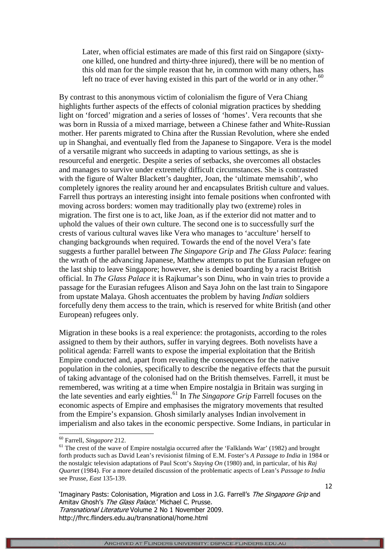Later, when official estimates are made of this first raid on Singapore (sixtyone killed, one hundred and thirty-three injured), there will be no mention of this old man for the simple reason that he, in common with many others, has left no trace of ever having existed in this part of the world or in any other. $60$ 

By contrast to this anonymous victim of colonialism the figure of Vera Chiang highlights further aspects of the effects of colonial migration practices by shedding light on 'forced' migration and a series of losses of 'homes'. Vera recounts that she was born in Russia of a mixed marriage, between a Chinese father and White-Russian mother. Her parents migrated to China after the Russian Revolution, where she ended up in Shanghai, and eventually fled from the Japanese to Singapore. Vera is the model of a versatile migrant who succeeds in adapting to various settings, as she is resourceful and energetic. Despite a series of setbacks, she overcomes all obstacles and manages to survive under extremely difficult circumstances. She is contrasted with the figure of Walter Blackett's daughter, Joan, the 'ultimate memsahib', who completely ignores the reality around her and encapsulates British culture and values. Farrell thus portrays an interesting insight into female positions when confronted with moving across borders: women may traditionally play two (extreme) roles in migration. The first one is to act, like Joan, as if the exterior did not matter and to uphold the values of their own culture. The second one is to successfully surf the crests of various cultural waves like Vera who manages to 'acculture' herself to changing backgrounds when required. Towards the end of the novel Vera's fate suggests a further parallel between *The Singapore Grip* and *The Glass Palace*: fearing the wrath of the advancing Japanese, Matthew attempts to put the Eurasian refugee on the last ship to leave Singapore; however, she is denied boarding by a racist British official. In *The Glass Palace* it is Rajkumar's son Dinu, who in vain tries to provide a passage for the Eurasian refugees Alison and Saya John on the last train to Singapore from upstate Malaya. Ghosh accentuates the problem by having *Indian* soldiers forcefully deny them access to the train, which is reserved for white British (and other European) refugees only.

Migration in these books is a real experience: the protagonists, according to the roles assigned to them by their authors, suffer in varying degrees. Both novelists have a political agenda: Farrell wants to expose the imperial exploitation that the British Empire conducted and, apart from revealing the consequences for the native population in the colonies, specifically to describe the negative effects that the pursuit of taking advantage of the colonised had on the British themselves. Farrell, it must be remembered, was writing at a time when Empire nostalgia in Britain was surging in the late seventies and early eighties.<sup>61</sup> In *The Singapore Grip* Farrell focuses on the economic aspects of Empire and emphasises the migratory movements that resulted from the Empire's expansion. Ghosh similarly analyses Indian involvement in imperialism and also takes in the economic perspective. Some Indians, in particular in

-

'Imaginary Pasts: Colonisation, Migration and Loss in J.G. Farrell's The Singapore Grip and Amitav Ghosh's The Glass Palace.' Michael C. Prusse. Transnational Literature Volume 2 No 1 November 2009. http://fhrc.flinders.edu.au/transnational/home.html

<sup>60</sup> Farrell, *Singapore* 212.

<sup>&</sup>lt;sup>61</sup> The crest of the wave of Empire nostalgia occurred after the 'Falklands War' (1982) and brought forth products such as David Lean's revisionist filming of E.M. Foster's *A Passage to India* in 1984 or the nostalgic television adaptations of Paul Scott's *Staying On* (1980) and, in particular, of his *Raj Quartet* (1984). For a more detailed discussion of the problematic aspects of Lean's *Passage to India* see Prusse, *East* 135-139.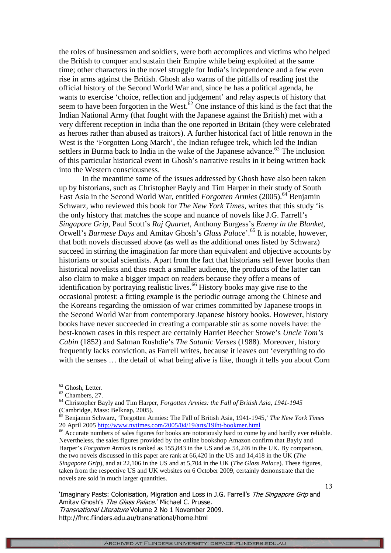the roles of businessmen and soldiers, were both accomplices and victims who helped the British to conquer and sustain their Empire while being exploited at the same time; other characters in the novel struggle for India's independence and a few even rise in arms against the British. Ghosh also warns of the pitfalls of reading just the official history of the Second World War and, since he has a political agenda, he wants to exercise 'choice, reflection and judgement' and relay aspects of history that seem to have been forgotten in the West. $62$  One instance of this kind is the fact that the Indian National Army (that fought with the Japanese against the British) met with a very different reception in India than the one reported in Britain (they were celebrated as heroes rather than abused as traitors). A further historical fact of little renown in the West is the 'Forgotten Long March', the Indian refugee trek, which led the Indian settlers in Burma back to India in the wake of the Japanese advance.<sup>63</sup> The inclusion of this particular historical event in Ghosh's narrative results in it being written back into the Western consciousness.

In the meantime some of the issues addressed by Ghosh have also been taken up by historians, such as Christopher Bayly and Tim Harper in their study of South East Asia in the Second World War, entitled *Forgotten Armies* (2005).<sup>64</sup> Benjamin Schwarz, who reviewed this book for *The New York Times*, writes that this study 'is the only history that matches the scope and nuance of novels like J.G. Farrell's *Singapore Grip*, Paul Scott's *Raj Quartet*, Anthony Burgess's *Enemy in the Blanket*, Orwell's *Burmese Days* and Amitav Ghosh's *Glass Palace*'.<sup>65</sup> It is notable, however, that both novels discussed above (as well as the additional ones listed by Schwarz) succeed in stirring the imagination far more than equivalent and objective accounts by historians or social scientists. Apart from the fact that historians sell fewer books than historical novelists and thus reach a smaller audience, the products of the latter can also claim to make a bigger impact on readers because they offer a means of identification by portraying realistic lives.<sup>66</sup> History books may give rise to the occasional protest: a fitting example is the periodic outrage among the Chinese and the Koreans regarding the omission of war crimes committed by Japanese troops in the Second World War from contemporary Japanese history books. However, history books have never succeeded in creating a comparable stir as some novels have: the best-known cases in this respect are certainly Harriet Beecher Stowe's *Uncle Tom's Cabin* (1852) and Salman Rushdie's *The Satanic Verses* (1988). Moreover, history frequently lacks conviction, as Farrell writes, because it leaves out 'everything to do with the senses … the detail of what being alive is like, though it tells you about Corn

l

'Imaginary Pasts: Colonisation, Migration and Loss in J.G. Farrell's The Singapore Grip and Amitav Ghosh's The Glass Palace.' Michael C. Prusse. Transnational Literature Volume 2 No 1 November 2009. http://fhrc.flinders.edu.au/transnational/home.html

 $62$  Ghosh, Letter.

<sup>63</sup> Chambers, 27.

<sup>64</sup> Christopher Bayly and Tim Harper, *Forgotten Armies: the Fall of British Asia, 1941-1945* (Cambridge, Mass: Belknap, 2005).

<sup>65</sup> Benjamin Schwarz, 'Forgotten Armies: The Fall of British Asia, 1941-1945,' *The New York Times* 20 April 2005 http://www.nytimes.com/2005/04/19/arts/19iht-bookmer.html

<sup>&</sup>lt;sup>66</sup> Accurate numbers of sales figures for books are notoriously hard to come by and hardly ever reliable. Nevertheless, the sales figures provided by the online bookshop Amazon confirm that Bayly and Harper's *Forgotten Armies* is ranked as 155,843 in the US and as 54,246 in the UK. By comparison, the two novels discussed in this paper are rank at 66,420 in the US and 14,418 in the UK (*The Singapore Grip*), and at 22,106 in the US and at 5,704 in the UK (*The Glass Palace*). These figures, taken from the respective US and UK websites on 6 October 2009, certainly demonstrate that the novels are sold in much larger quantities.